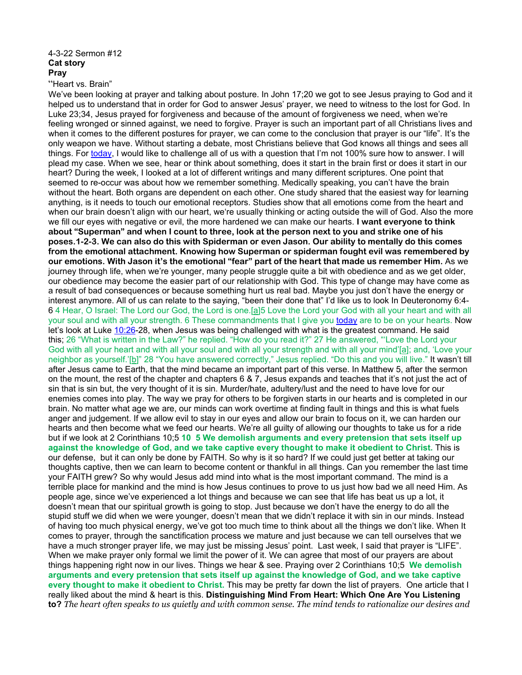## 4-3-22 Sermon #12 **Cat story Pray**

"Heart vs. Brain"

We've been looking at prayer and talking about posture. In John 17;20 we got to see Jesus praying to God and it helped us to understand that in order for God to answer Jesus' prayer, we need to witness to the lost for God. In Luke 23;34, Jesus prayed for forgiveness and because of the amount of forgiveness we need, when we're feeling wronged or sinned against, we need to forgive. Prayer is such an important part of all Christians lives and when it comes to the different postures for prayer, we can come to the conclusion that prayer is our "life". It's the only weapon we have. Without starting a debate, most Christians believe that God knows all things and sees all things. For today, I would like to challenge all of us with a question that I'm not 100% sure how to answer. I will plead my case. When we see, hear or think about something, does it start in the brain first or does it start in our heart? During the week, I looked at a lot of different writings and many different scriptures. One point that seemed to re-occur was about how we remember something. Medically speaking, you can't have the brain without the heart. Both organs are dependent on each other. One study shared that the easiest way for learning anything, is it needs to touch our emotional receptors. Studies show that all emotions come from the heart and when our brain doesn't align with our heart, we're usually thinking or acting outside the will of God. Also the more we fill our eyes with negative or evil, the more hardened we can make our hearts. **I want everyone to think about "Superman" and when I count to three, look at the person next to you and strike one of his poses.1-2-3. We can also do this with Spiderman or even Jason. Our ability to mentally do this comes from the emotional attachment. Knowing how Superman or spiderman fought evil was remembered by our emotions. With Jason it's the emotional "fear" part of the heart that made us remember Him.** As we journey through life, when we're younger, many people struggle quite a bit with obedience and as we get older, our obedience may become the easier part of our relationship with God. This type of change may have come as a result of bad consequences or because something hurt us real bad. Maybe you just don't have the energy or interest anymore. All of us can relate to the saying, "been their done that" I'd like us to look In Deuteronomy 6:4- 6 4 Hear, O Israel: The Lord our God, the Lord is one.[\[a\]](https://www.biblegateway.com/passage/?search=Deuteronomy%206:4-6&version=NIV#fen-NIV-5091a)5 Love the Lord your God with all your heart and with all your soul and with all your strength. 6 These commandments that I give you today are to be on your hearts. Now let's look at Luke 10:26-28, when Jesus was being challenged with what is the greatest command. He said this; 26 "What is written in the Law?" he replied. "How do you read it?" 27 He answered, "'Love the Lord your God with all your heart and with all your soul and with all your strength and with all your mind'[\[a\]](https://www.biblegateway.com/passage/?search=Luke%2010:26-28&version=NIV#fen-NIV-25391a); and, 'Love your neigh[b](https://www.biblegateway.com/passage/?search=Luke%2010:26-28&version=NIV#fen-NIV-25391b)or as yourself.'[b]" 28 "You have answered correctly," Jesus replied. "Do this and you will live." It wasn't till after Jesus came to Earth, that the mind became an important part of this verse. In Matthew 5, after the sermon on the mount, the rest of the chapter and chapters 6 & 7, Jesus expands and teaches that it's not just the act of sin that is sin but, the very thought of it is sin. Murder/hate, adultery/lust and the need to have love for our enemies comes into play. The way we pray for others to be forgiven starts in our hearts and is completed in our brain. No matter what age we are, our minds can work overtime at finding fault in things and this is what fuels anger and judgement. If we allow evil to stay in our eyes and allow our brain to focus on it, we can harden our hearts and then become what we feed our hearts. We're all guilty of allowing our thoughts to take us for a ride but if we look at 2 Corinthians 10;5 **10 5 We demolish arguments and every pretension that sets itself up against the knowledge of God, and we take captive every thought to make it obedient to Christ.** This is our defense, but it can only be done by FAITH. So why is it so hard? If we could just get better at taking our thoughts captive, then we can learn to become content or thankful in all things. Can you remember the last time your FAITH grew? So why would Jesus add mind into what is the most important command. The mind is a terrible place for mankind and the mind is how Jesus continues to prove to us just how bad we all need Him. As people age, since we've experienced a lot things and because we can see that life has beat us up a lot, it doesn't mean that our spiritual growth is going to stop. Just because we don't have the energy to do all the stupid stuff we did when we were younger, doesn't mean that we didn't replace it with sin in our minds. Instead of having too much physical energy, we've got too much time to think about all the things we don't like. When It comes to prayer, through the sanctification process we mature and just because we can tell ourselves that we have a much stronger prayer life, we may just be missing Jesus' point. Last week, I said that prayer is "LIFE". When we make prayer only formal we limit the power of it. We can agree that most of our prayers are about things happening right now in our lives. Things we hear & see. Praying over 2 Corinthians 10;5 **We demolish arguments and every pretension that sets itself up against the knowledge of God, and we take captive every thought to make it obedient to Christ.** This may be pretty far down the list of prayers. One article that I really liked about the mind & heart is this. **Distinguishing Mind From Heart: Which One Are You Listening to?** *The heart often speaks to us quietly and with common sense. The mind tends to rationalize our desires and*